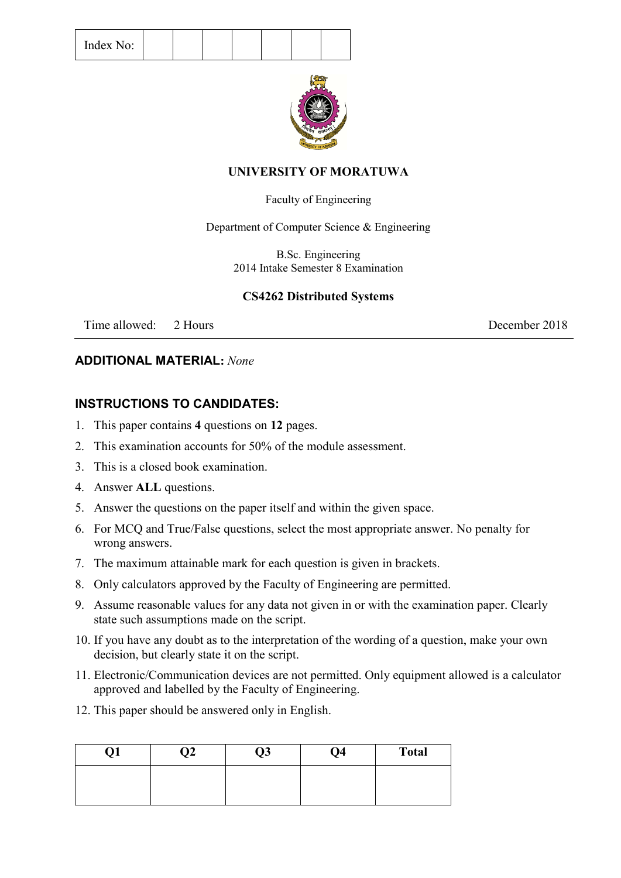

### **UNIVERSITY OF MORATUWA**

### Faculty of Engineering

Department of Computer Science & Engineering

B.Sc. Engineering 2014 Intake Semester 8 Examination

## **CS4262 Distributed Systems**

Time allowed: 2 Hours 2018

### **ADDITIONAL MATERIAL:** *None*

# **INSTRUCTIONS TO CANDIDATES:**

- 1. This paper contains **4** questions on **12** pages.
- 2. This examination accounts for 50% of the module assessment.
- 3. This is a closed book examination.
- 4. Answer **ALL** questions.
- 5. Answer the questions on the paper itself and within the given space.
- 6. For MCQ and True/False questions, select the most appropriate answer. No penalty for wrong answers.
- 7. The maximum attainable mark for each question is given in brackets.
- 8. Only calculators approved by the Faculty of Engineering are permitted.
- 9. Assume reasonable values for any data not given in or with the examination paper. Clearly state such assumptions made on the script.
- 10. If you have any doubt as to the interpretation of the wording of a question, make your own decision, but clearly state it on the script.
- 11. Electronic/Communication devices are not permitted. Only equipment allowed is a calculator approved and labelled by the Faculty of Engineering.
- 12. This paper should be answered only in English.

| ,, | ገን ነ<br>,, | Q3 | Q <sub>4</sub> | <b>Total</b> |
|----|------------|----|----------------|--------------|
|    |            |    |                |              |
|    |            |    |                |              |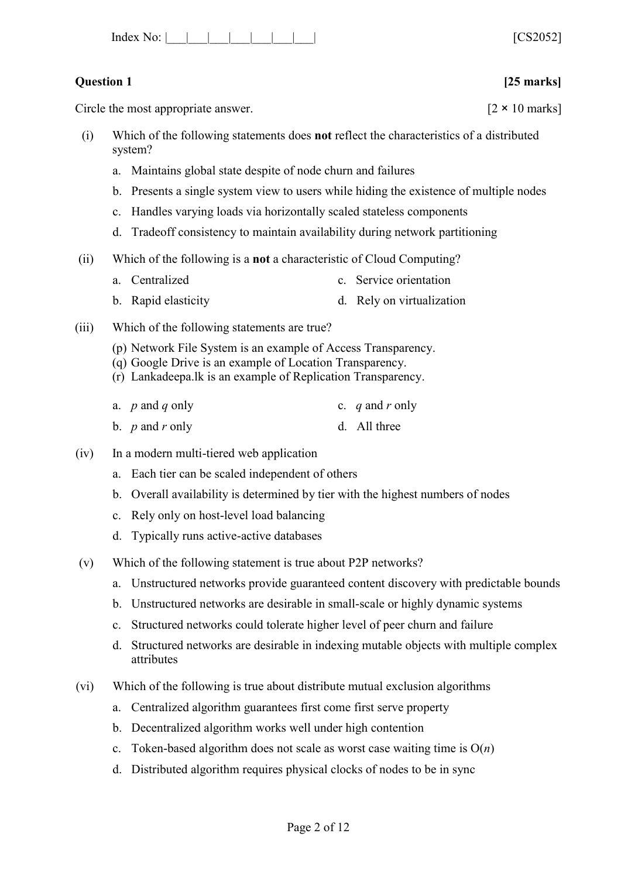| Index No: |  |  |  |  |  |  |  |  | [0.82062]<br>O∠UJZT |  |
|-----------|--|--|--|--|--|--|--|--|---------------------|--|
|-----------|--|--|--|--|--|--|--|--|---------------------|--|

## **Question 1 [25 marks]**

Circle the most appropriate answer.  $[2 \times 10 \text{ marks}]$ 

- (i) Which of the following statements does **not** reflect the characteristics of a distributed system?
	- a. Maintains global state despite of node churn and failures
	- b. Presents a single system view to users while hiding the existence of multiple nodes
	- c. Handles varying loads via horizontally scaled stateless components
	- d. Tradeoff consistency to maintain availability during network partitioning
- (ii) Which of the following is a **not** a characteristic of Cloud Computing?
	- a. Centralized c. Service orientation
	- b. Rapid elasticity d. Rely on virtualization
- (iii) Which of the following statements are true?
	- (p) Network File System is an example of Access Transparency.
	- (q) Google Drive is an example of Location Transparency.
	- (r) Lankadeepa.lk is an example of Replication Transparency.
	- a. *p* and *q* only c. *q* and *r* only
	- b. *p* and *r* only d. All three
- (iv) In a modern multi-tiered web application
	- a. Each tier can be scaled independent of others
	- b. Overall availability is determined by tier with the highest numbers of nodes
	- c. Rely only on host-level load balancing
	- d. Typically runs active-active databases
- (v) Which of the following statement is true about P2P networks?
	- a. Unstructured networks provide guaranteed content discovery with predictable bounds
	- b. Unstructured networks are desirable in small-scale or highly dynamic systems
	- c. Structured networks could tolerate higher level of peer churn and failure
	- d. Structured networks are desirable in indexing mutable objects with multiple complex attributes
- (vi) Which of the following is true about distribute mutual exclusion algorithms
	- a. Centralized algorithm guarantees first come first serve property
	- b. Decentralized algorithm works well under high contention
	- c. Token-based algorithm does not scale as worst case waiting time is O(*n*)
	- d. Distributed algorithm requires physical clocks of nodes to be in sync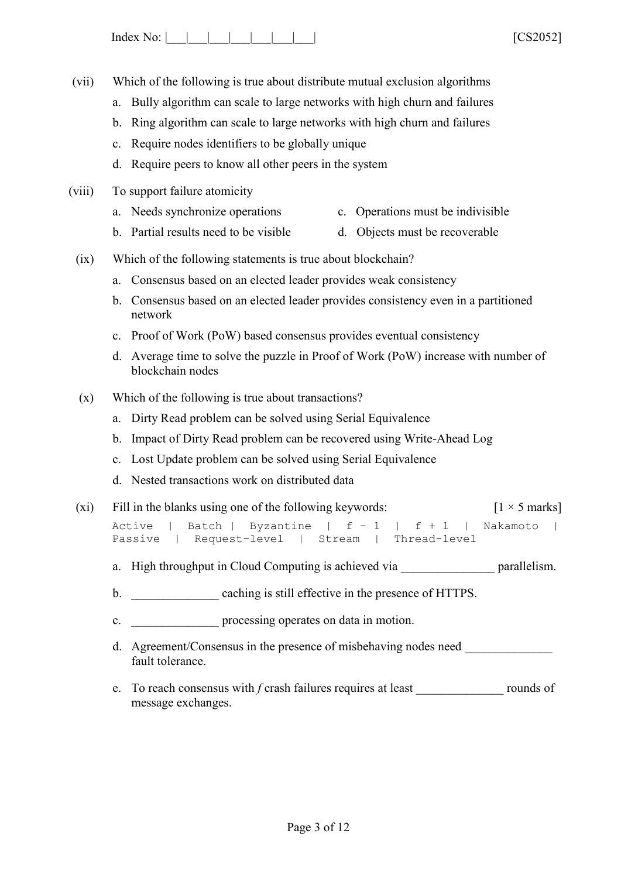Index No: |\_\_\_|\_\_\_|\_\_\_|\_\_\_|\_\_\_|\_\_\_\_| \_\_\_| [CS2052]

- (vii) Which of the following is true about distribute mutual exclusion algorithms
	- a. Bully algorithm can scale to large networks with high churn and failures
	- b. Ring algorithm can scale to large networks with high churn and failures
	- c. Require nodes identifiers to be globally unique
	- d. Require peers to know all other peers in the system
- (viii) To support failure atomicity
	- a. Needs synchronize operations c. Operations must be indivisible
	- b. Partial results need to be visible d. Objects must be recoverable
	- (ix) Which of the following statements is true about blockchain?
		- a. Consensus based on an elected leader provides weak consistency
		- b. Consensus based on an elected leader provides consistency even in a partitioned network
		- c. Proof of Work (PoW) based consensus provides eventual consistency
		- d. Average time to solve the puzzle in Proof of Work (PoW) increase with number of blockchain nodes
	- (x) Which of the following is true about transactions?
		- a. Dirty Read problem can be solved using Serial Equivalence
		- b. Impact of Dirty Read problem can be recovered using Write-Ahead Log
		- c. Lost Update problem can be solved using Serial Equivalence
		- d. Nested transactions work on distributed data
	- (xi) Fill in the blanks using one of the following keywords:  $\begin{bmatrix} 1 \times 5 \text{ marks} \end{bmatrix}$ Active | Batch | Byzantine | f - 1 | f + 1 | Nakamoto | Passive | Request-level | Stream | Thread-level
		- a. High throughput in Cloud Computing is achieved via **parallelism**.
		- b. caching is still effective in the presence of HTTPS.
		- c. \_\_\_\_\_\_\_\_\_\_\_\_\_\_\_ processing operates on data in motion.
		- d. Agreement/Consensus in the presence of misbehaving nodes need fault tolerance.
		- e. To reach consensus with *f* crash failures requires at least \_\_\_\_\_\_\_\_\_\_\_\_\_\_ rounds of message exchanges.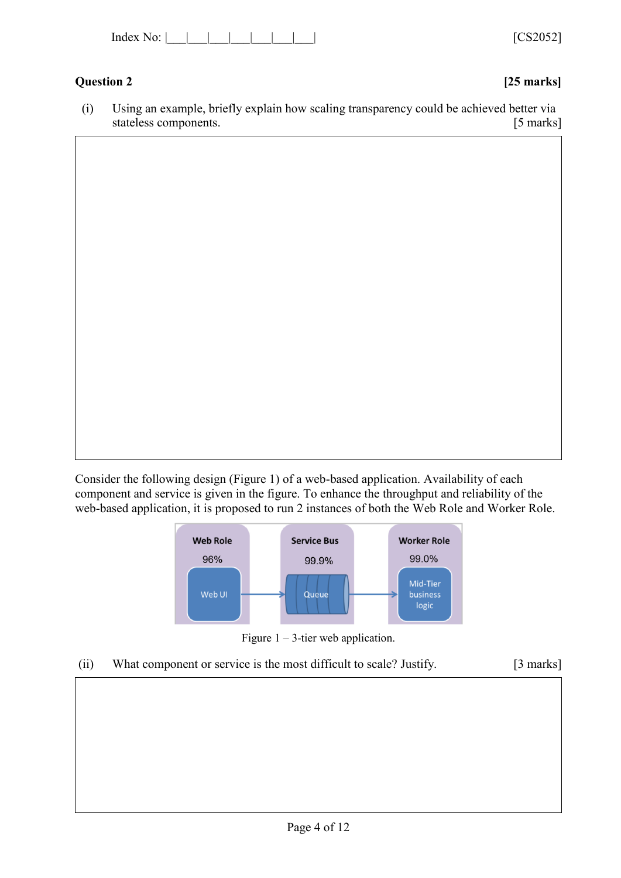| Index<br>. . |  |  |  |
|--------------|--|--|--|
|--------------|--|--|--|

## **Question 2 [25 marks]**

[CS2052]

(i) Using an example, briefly explain how scaling transparency could be achieved better via stateless components. [5 marks]

Consider the following design (Figure 1) of a web-based application. Availability of each component and service is given in the figure. To enhance the throughput and reliability of the web-based application, it is proposed to run 2 instances of both the Web Role and Worker Role.





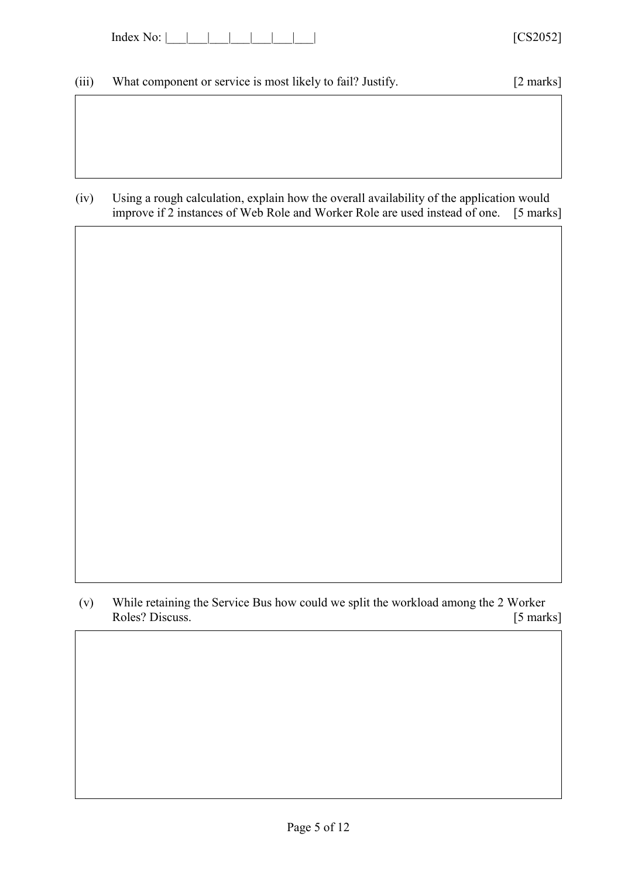| Index<br><b>πΩ</b> |  |  |  |  |  |  |  |  |
|--------------------|--|--|--|--|--|--|--|--|
|--------------------|--|--|--|--|--|--|--|--|

## (iii) What component or service is most likely to fail? Justify. [2 marks]

(iv) Using a rough calculation, explain how the overall availability of the application would<br>improve if 2 instances of Web Role and Worker Role are used instead of one. [5 marks] improve if 2 instances of Web Role and Worker Role are used instead of one.

(v) While retaining the Service Bus how could we split the workload among the 2 Worker Roles? Discuss. [5 marks] Roles? Discuss.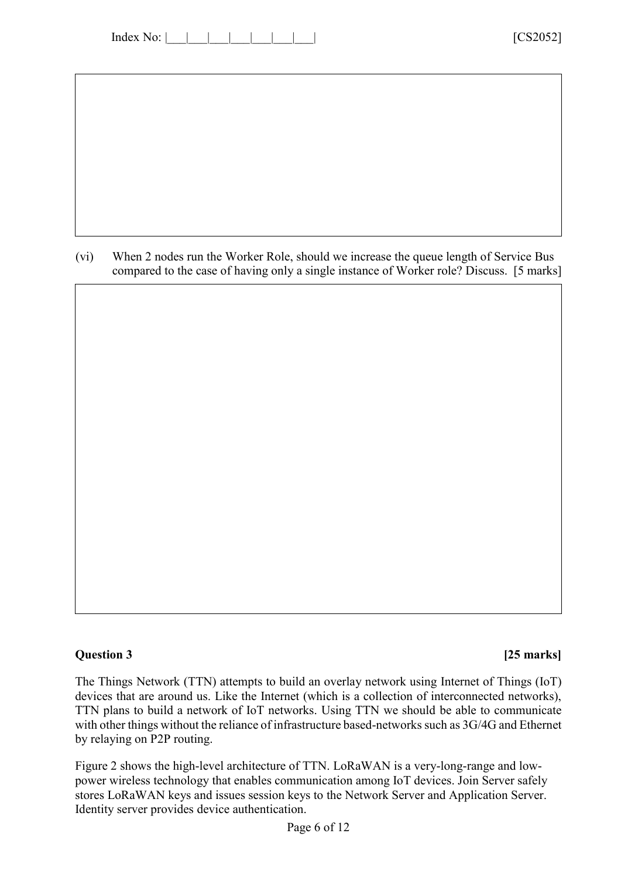| Index No: |  |  |  |  |  |  |  |  |
|-----------|--|--|--|--|--|--|--|--|
|-----------|--|--|--|--|--|--|--|--|

| (vi) | When 2 nodes run the Worker Role, should we increase the queue length of Service Bus     |  |
|------|------------------------------------------------------------------------------------------|--|
|      | compared to the case of having only a single instance of Worker role? Discuss. [5 marks] |  |

### **Question 3 [25 marks]**

The Things Network (TTN) attempts to build an overlay network using Internet of Things (IoT) devices that are around us. Like the Internet (which is a collection of interconnected networks), TTN plans to build a network of IoT networks. Using TTN we should be able to communicate with other things without the reliance of infrastructure based-networks such as 3G/4G and Ethernet by relaying on P2P routing.

Figure 2 shows the high-level architecture of TTN. LoRaWAN is a very-long-range and lowpower wireless technology that enables communication among IoT devices. Join Server safely stores LoRaWAN keys and issues session keys to the Network Server and Application Server. Identity server provides device authentication.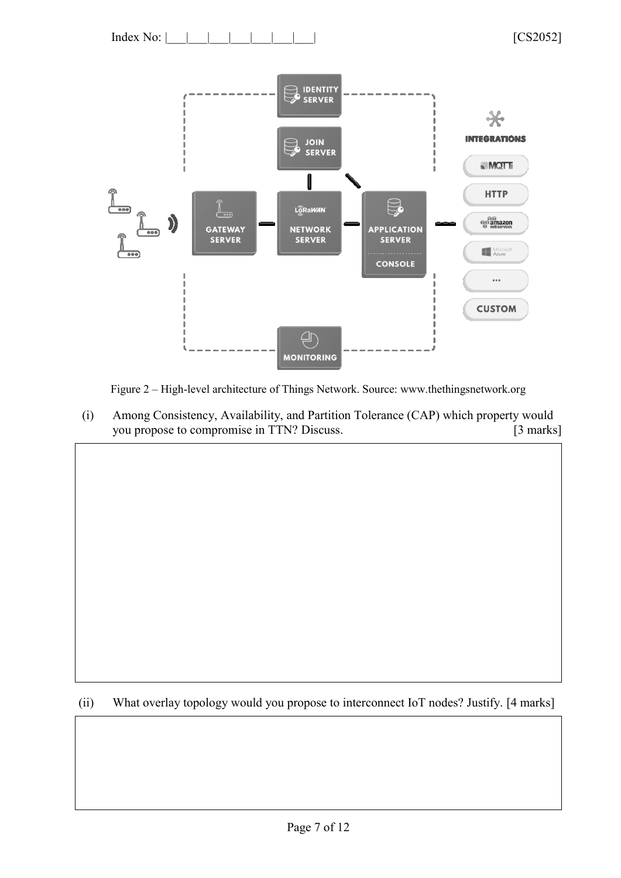

Figure 2 – High-level architecture of Things Network. Source: www.thethingsnetwork.org

(i) Among Consistency, Availability, and Partition Tolerance (CAP) which property would you propose to compromise in TTN? Discuss. [3 marks]

(ii) What overlay topology would you propose to interconnect IoT nodes? Justify. [4 marks]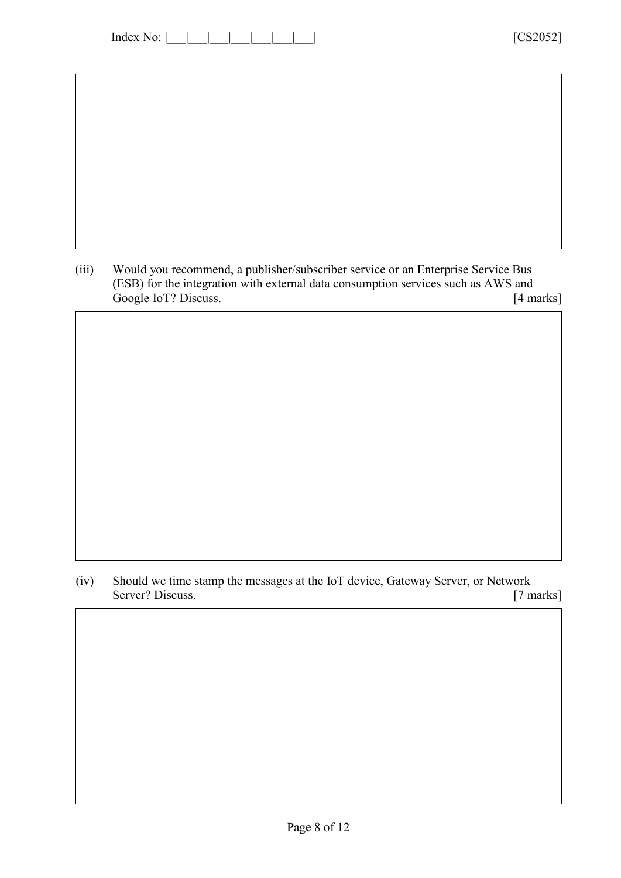| Index No: |  |  |  |  |  |  |  |
|-----------|--|--|--|--|--|--|--|
|-----------|--|--|--|--|--|--|--|

(iii) Would you recommend, a publisher/subscriber service or an Enterprise Service Bus (ESB) for the integration with external data consumption services such as AWS and Google IoT? Discuss. [4 marks]

(iv) Should we time stamp the messages at the IoT device, Gateway Server, or Network<br>Server? Discuss. [7 marks] Server? Discuss.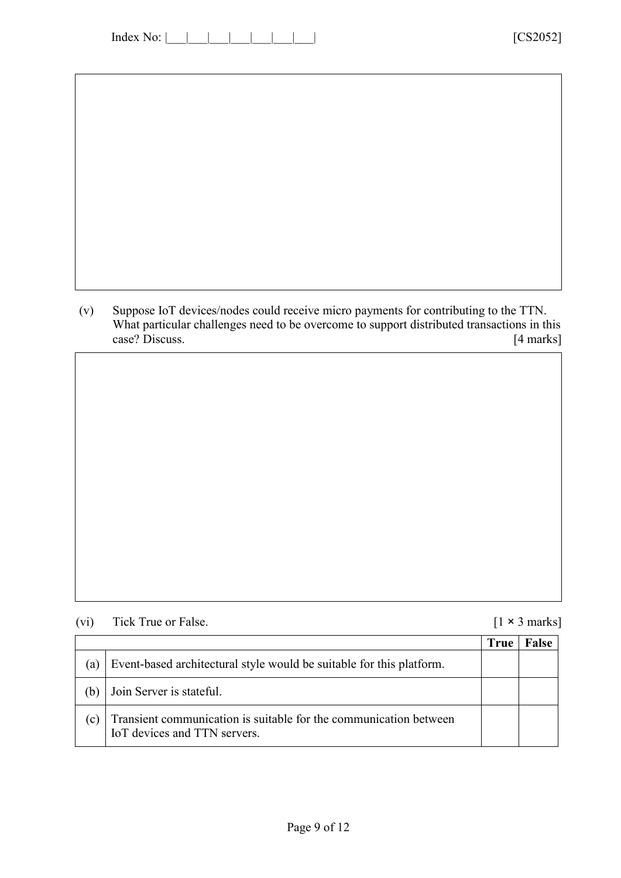| Index No: |  |  |  |  |  |  |  |
|-----------|--|--|--|--|--|--|--|
|-----------|--|--|--|--|--|--|--|

(v) Suppose IoT devices/nodes could receive micro payments for contributing to the TTN. What particular challenges need to be overcome to support distributed transactions in this case? Discuss. [4 marks] case? Discuss.

| (vi) | Tick True or False. |
|------|---------------------|
|------|---------------------|

 $[1 \times 3 \text{ marks}]$ 

|              |                                                                                                   | <b>True</b> | False |
|--------------|---------------------------------------------------------------------------------------------------|-------------|-------|
| a)           | Event-based architectural style would be suitable for this platform.                              |             |       |
| (b)          | Join Server is stateful.                                                                          |             |       |
| $\mathbf{c}$ | Transient communication is suitable for the communication between<br>IoT devices and TTN servers. |             |       |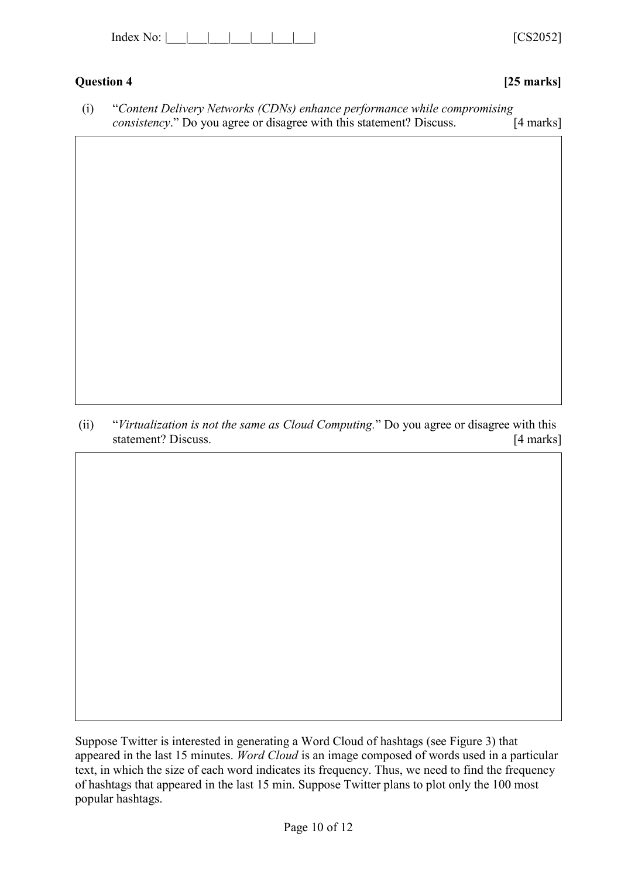| Index |  |  |
|-------|--|--|
|-------|--|--|

# **Question 4 [25 marks]**

 $[CS2052]$ 

| "Content Delivery Networks (CDNs) enhance performance while compromising     |             |
|------------------------------------------------------------------------------|-------------|
| <i>consistency.</i> " Do you agree or disagree with this statement? Discuss. | $[4$ marks] |

(ii) "*Virtualization is not the same as Cloud Computing.*" Do you agree or disagree with this statement? Discuss. [4 marks]

Suppose Twitter is interested in generating a Word Cloud of hashtags (see Figure 3) that appeared in the last 15 minutes. *Word Cloud* is an image composed of words used in a particular text, in which the size of each word indicates its frequency. Thus, we need to find the frequency of hashtags that appeared in the last 15 min. Suppose Twitter plans to plot only the 100 most popular hashtags.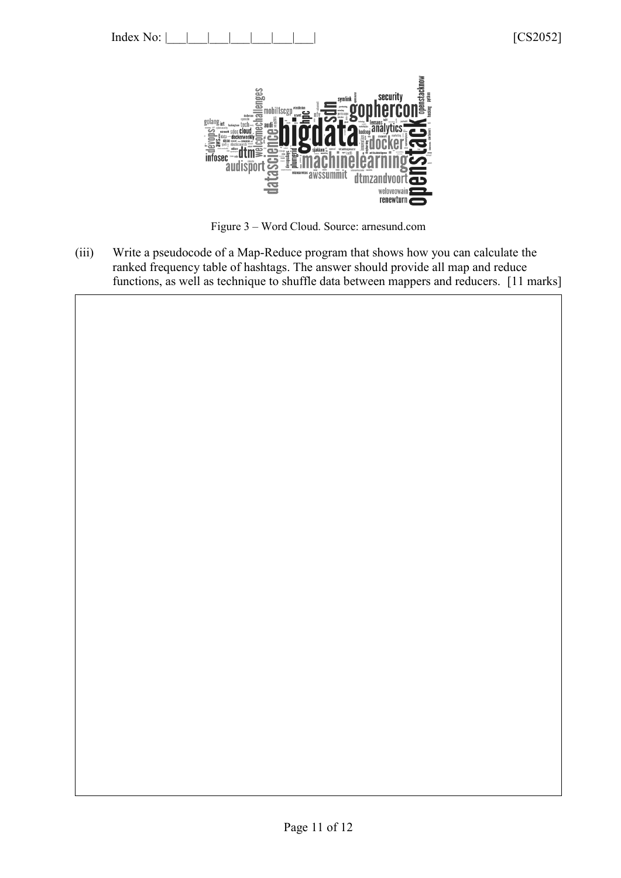

Figure 3 – Word Cloud. Source: arnesund.com

(iii) Write a pseudocode of a Map-Reduce program that shows how you can calculate the ranked frequency table of hashtags. The answer should provide all map and reduce functions, as well as technique to shuffle data between mappers and reducers. [11 marks]